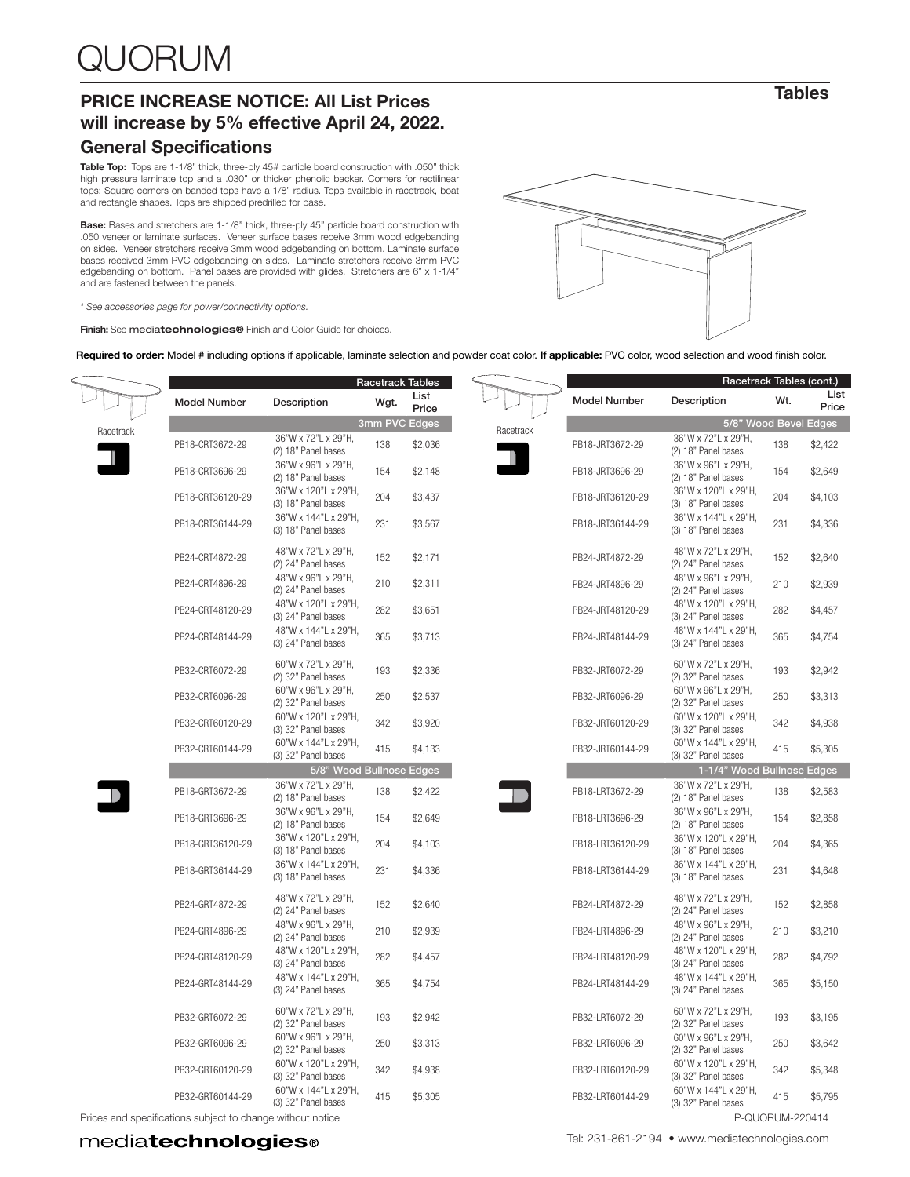## PRICE INCREASE NOTICE: All List Prices will increase by 5% effective April 24, 2022.

#### General Specifications

**Table Top:** Tops are 1-1/8" thick, three-ply 45# particle board construction with .050" thick<br>high pressure laminate top and a .030" or thicker phenolic backer. Corners for rectilinear tops: Square corners on banded tops have a 1/8" radius. Tops available in racetrack, boat and rectangle shapes. Tops are shipped predrilled for base.

Base: Bases and stretchers are 1-1/8" thick, three-ply 45" particle board construction with .050 veneer or laminate surfaces. Veneer surface bases receive 3mm wood edgebanding on sides. Veneer stretchers receive 3mm wood edgebanding on bottom. Laminate surface bases received 3mm PVC edgebanding on sides. Laminate stretchers receive 3mm PVC edgebanding on bottom. Panel bases are provided with glides. Stretchers are 6" x 1-1/4" and are fastened between the panels.

*\* See accessories page for power/connectivity options.*

×

Finish: See mediatechnologies® Finish and Color Guide for choices.

Required to order: Model # including options if applicable, laminate selection and powder coat color. If applicable: PVC color, wood selection and wood finish color.

|           |                                                            |                                             |               | <b>Racetrack Tables</b> |           |                     | Racetrack Tables (cont.)                    |                 |               |
|-----------|------------------------------------------------------------|---------------------------------------------|---------------|-------------------------|-----------|---------------------|---------------------------------------------|-----------------|---------------|
|           | <b>Model Number</b>                                        | Description                                 | Wgt.          | List<br>Price           |           | <b>Model Number</b> | Description                                 | Wt.             | List<br>Price |
|           |                                                            |                                             | 3mm PVC Edges | 5/8" Wood Bevel Edges   |           |                     |                                             |                 |               |
| Racetrack | PB18-CRT3672-29                                            | 36"W x 72"L x 29"H,<br>(2) 18" Panel bases  | 138           | \$2,036                 | Racetrack | PB18-JRT3672-29     | 36"W x 72"L x 29"H,<br>(2) 18" Panel bases  | 138             | \$2,422       |
|           | PB18-CRT3696-29                                            | 36"W x 96"L x 29"H,<br>(2) 18" Panel bases  | 154           | \$2,148                 |           | PB18-JRT3696-29     | 36"W x 96"L x 29"H,<br>(2) 18" Panel bases  | 154             | \$2,649       |
|           | PB18-CRT36120-29                                           | 36"W x 120"L x 29"H,<br>(3) 18" Panel bases | 204           | \$3,437                 |           | PB18-JRT36120-29    | 36"W x 120"L x 29"H,<br>(3) 18" Panel bases | 204             | \$4,103       |
|           | PB18-CRT36144-29                                           | 36"W x 144"L x 29"H,<br>(3) 18" Panel bases | 231           | \$3,567                 |           | PB18-JRT36144-29    | 36"W x 144"L x 29"H,<br>(3) 18" Panel bases | 231             | \$4,336       |
|           | PB24-CRT4872-29                                            | 48"W x 72"L x 29"H,<br>(2) 24" Panel bases  | 152           | \$2,171                 |           | PB24-JRT4872-29     | 48"W x 72"L x 29"H,<br>(2) 24" Panel bases  | 152             | \$2,640       |
|           | PB24-CRT4896-29                                            | 48"W x 96"L x 29"H,<br>(2) 24" Panel bases  | 210           | \$2,311                 |           | PB24-JRT4896-29     | 48"W x 96"L x 29"H,<br>(2) 24" Panel bases  | 210             | \$2,939       |
|           | PB24-CRT48120-29                                           | 48"W x 120"L x 29"H,<br>(3) 24" Panel bases | 282           | \$3,651                 |           | PB24-JRT48120-29    | 48"W x 120"L x 29"H,<br>(3) 24" Panel bases | 282             | \$4,457       |
|           | PB24-CRT48144-29                                           | 48"W x 144"L x 29"H,<br>(3) 24" Panel bases | 365           | \$3,713                 |           | PB24-JRT48144-29    | 48"W x 144"L x 29"H,<br>(3) 24" Panel bases | 365             | \$4,754       |
|           | PB32-CRT6072-29                                            | 60"W x 72"L x 29"H,<br>(2) 32" Panel bases  | 193           | \$2,336                 |           | PB32-JRT6072-29     | 60"W x 72"L x 29"H,<br>(2) 32" Panel bases  | 193             | \$2.942       |
|           | PB32-CRT6096-29                                            | 60"W x 96"L x 29"H.<br>(2) 32" Panel bases  | 250           | \$2,537                 |           | PB32-JRT6096-29     | 60"W x 96"L x 29"H.<br>(2) 32" Panel bases  | 250             | \$3,313       |
|           | PB32-CRT60120-29                                           | 60"W x 120"L x 29"H,<br>(3) 32" Panel bases | 342           | \$3,920                 |           | PB32-JRT60120-29    | 60"W x 120"L x 29"H,<br>(3) 32" Panel bases | 342             | \$4,938       |
|           | PB32-CRT60144-29                                           | 60"W x 144"L x 29"H,<br>(3) 32" Panel bases | 415           | \$4,133                 |           | PB32-JRT60144-29    | 60"W x 144"L x 29"H,<br>(3) 32" Panel bases | 415             | \$5,305       |
|           |                                                            | 5/8" Wood Bullnose Edges                    |               |                         |           |                     | 1-1/4" Wood Bullnose Edges                  |                 |               |
|           | PB18-GRT3672-29                                            | 36"W x 72"L x 29"H,<br>(2) 18" Panel bases  | 138           | \$2,422                 |           | PB18-LRT3672-29     | 36"W x 72"L x 29"H,<br>(2) 18" Panel bases  | 138             | \$2,583       |
|           | PB18-GRT3696-29                                            | 36"W x 96"L x 29"H,<br>(2) 18" Panel bases  | 154           | \$2,649                 |           | PB18-LRT3696-29     | 36"W x 96"L x 29"H,<br>(2) 18" Panel bases  | 154             | \$2,858       |
|           | PB18-GRT36120-29                                           | 36"W x 120"L x 29"H,<br>(3) 18" Panel bases | 204           | \$4,103                 |           | PB18-LRT36120-29    | 36"W x 120"L x 29"H,<br>(3) 18" Panel bases | 204             | \$4,365       |
|           | PB18-GRT36144-29                                           | 36"W x 144"L x 29"H,<br>(3) 18" Panel bases | 231           | \$4,336                 |           | PB18-LRT36144-29    | 36"W x 144"L x 29"H,<br>(3) 18" Panel bases | 231             | \$4,648       |
|           | PB24-GRT4872-29                                            | 48"W x 72"L x 29"H,<br>(2) 24" Panel bases  | 152           | \$2.640                 |           | PB24-LRT4872-29     | 48"W x 72"L x 29"H,<br>(2) 24" Panel bases  | 152             | \$2,858       |
|           | PB24-GRT4896-29                                            | 48"W x 96"L x 29"H.<br>(2) 24" Panel bases  | 210           | \$2,939                 |           | PB24-LRT4896-29     | 48"W x 96"L x 29"H.<br>(2) 24" Panel bases  | 210             | \$3,210       |
|           | PB24-GRT48120-29                                           | 48"W x 120"L x 29"H,<br>(3) 24" Panel bases | 282           | \$4,457                 |           | PB24-LRT48120-29    | 48"W x 120"L x 29"H,<br>(3) 24" Panel bases | 282             | \$4,792       |
|           | PB24-GRT48144-29                                           | 48"W x 144"L x 29"H,<br>(3) 24" Panel bases | 365           | \$4,754                 |           | PB24-LRT48144-29    | 48"W x 144"L x 29"H,<br>(3) 24" Panel bases | 365             | \$5,150       |
|           | PB32-GRT6072-29                                            | 60"W x 72"L x 29"H,<br>(2) 32" Panel bases  | 193           | \$2,942                 |           | PB32-LRT6072-29     | 60"W x 72"L x 29"H,<br>(2) 32" Panel bases  | 193             | \$3,195       |
|           | PB32-GRT6096-29                                            | 60"W x 96"L x 29"H,<br>(2) 32" Panel bases  | 250           | \$3,313                 |           | PB32-LRT6096-29     | 60"W x 96"L x 29"H,<br>(2) 32" Panel bases  | 250             | \$3,642       |
|           | PB32-GRT60120-29                                           | 60"W x 120"L x 29"H,<br>(3) 32" Panel bases | 342           | \$4,938                 |           | PB32-LRT60120-29    | 60"W x 120"L x 29"H,<br>(3) 32" Panel bases | 342             | \$5,348       |
|           | PB32-GRT60144-29                                           | 60"W x 144"L x 29"H,<br>(3) 32" Panel bases | 415           | \$5,305                 |           | PB32-LRT60144-29    | 60"W x 144"L x 29"H,<br>(3) 32" Panel bases | 415             | \$5,795       |
|           | Prices and specifications subject to change without notice |                                             |               |                         |           |                     |                                             | P-QUORUM-220414 |               |

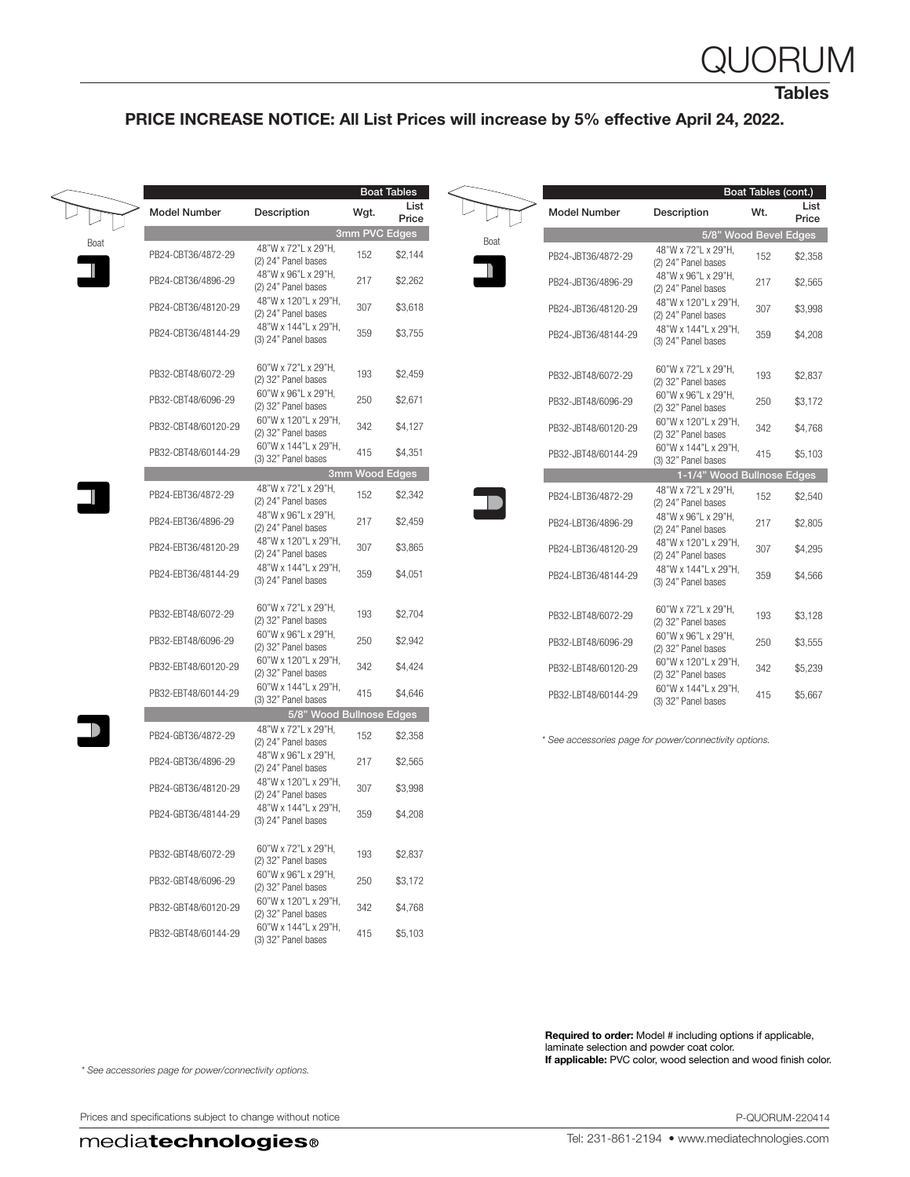## QUORUM

**Tables** 

### PRICE INCREASE NOTICE: All List Prices will increase by 5% effective April 24, 2022.

|                     |                                             |      | <b>Boat Tables</b> |      |                                                        |                                             | Boat Tables (cont.) |               |
|---------------------|---------------------------------------------|------|--------------------|------|--------------------------------------------------------|---------------------------------------------|---------------------|---------------|
| <b>Model Number</b> | Description                                 | Wgt. | List<br>Price      |      | <b>Model Number</b>                                    | Description                                 | Wt.                 | List<br>Price |
|                     |                                             |      | 3mm PVC Edges      |      |                                                        | 5/8" Wood Bevel Edges                       |                     |               |
| PB24-CBT36/4872-29  | 48"W x 72"L x 29"H,<br>(2) 24" Panel bases  | 152  | \$2,144            | Boat | PB24-JBT36/4872-29                                     | 48"W x 72"L x 29"H,<br>(2) 24" Panel bases  | 152                 | \$2,358       |
| PB24-CBT36/4896-29  | 48"W x 96"L x 29"H,<br>(2) 24" Panel bases  | 217  | \$2,262            |      | PB24-JBT36/4896-29                                     | 48"W x 96"L x 29"H,<br>(2) 24" Panel bases  | 217                 | \$2,565       |
| PB24-CBT36/48120-29 | 48"W x 120"L x 29"H,<br>(2) 24" Panel bases | 307  | \$3,618            |      | PB24-JBT36/48120-29                                    | 48"W x 120"L x 29"H,<br>(2) 24" Panel bases | 307                 | \$3,998       |
| PB24-CBT36/48144-29 | 48"W x 144"L x 29"H,<br>(3) 24" Panel bases | 359  | \$3,755            |      | PB24-JBT36/48144-29                                    | 48"W x 144"L x 29"H,<br>(3) 24" Panel bases | 359                 | \$4,208       |
| PB32-CBT48/6072-29  | 60"W x 72"L x 29"H,<br>(2) 32" Panel bases  | 193  | \$2,459            |      | PB32-JBT48/6072-29                                     | 60"W x 72"L x 29"H,<br>(2) 32" Panel bases  | 193                 | \$2,837       |
| PB32-CBT48/6096-29  | 60"W x 96"L x 29"H,<br>(2) 32" Panel bases  | 250  | \$2,671            |      | PB32-JBT48/6096-29                                     | 60"W x 96"L x 29"H,<br>(2) 32" Panel bases  | 250                 | \$3,172       |
| PB32-CBT48/60120-29 | 60"W x 120"L x 29"H,<br>(2) 32" Panel bases | 342  | \$4,127            |      | PB32-JBT48/60120-29                                    | 60"W x 120"L x 29"H,<br>(2) 32" Panel bases | 342                 | \$4,768       |
| PB32-CBT48/60144-29 | 60"W x 144"L x 29"H,<br>(3) 32" Panel bases | 415  | \$4,351            |      | PB32-JBT48/60144-29                                    | 60"W x 144"L x 29"H,<br>(3) 32" Panel bases | 415                 | \$5,103       |
|                     |                                             |      | 3mm Wood Edges     |      |                                                        | 1-1/4" Wood Bullnose Edges                  |                     |               |
| PB24-EBT36/4872-29  | 48"W x 72"L x 29"H,<br>(2) 24" Panel bases  | 152  | \$2,342            |      | PB24-LBT36/4872-29                                     | 48"W x 72"L x 29"H,<br>(2) 24" Panel bases  | 152                 | \$2,540       |
| PB24-EBT36/4896-29  | 48"W x 96"L x 29"H,<br>(2) 24" Panel bases  | 217  | \$2,459            |      | PB24-LBT36/4896-29                                     | 48"W x 96"L x 29"H,<br>(2) 24" Panel bases  | 217                 | \$2,805       |
| PB24-EBT36/48120-29 | 48"W x 120"L x 29"H,<br>(2) 24" Panel bases | 307  | \$3,865            |      | PB24-LBT36/48120-29                                    | 48"W x 120"L x 29"H,<br>(2) 24" Panel bases | 307                 | \$4,295       |
| PB24-EBT36/48144-29 | 48"W x 144"L x 29"H,<br>(3) 24" Panel bases | 359  | \$4,051            |      | PB24-LBT36/48144-29                                    | 48"W x 144"L x 29"H,<br>(3) 24" Panel bases | 359                 | \$4,566       |
| PB32-EBT48/6072-29  | 60"W x 72"L x 29"H,<br>(2) 32" Panel bases  | 193  | \$2,704            |      | PB32-LBT48/6072-29                                     | 60"W x 72"L x 29"H,<br>(2) 32" Panel bases  | 193                 | \$3,128       |
| PB32-EBT48/6096-29  | 60"W x 96"L x 29"H.<br>(2) 32" Panel bases  | 250  | \$2,942            |      | PB32-LBT48/6096-29                                     | 60"W x 96"L x 29"H,<br>(2) 32" Panel bases  | 250                 | \$3,555       |
| PB32-EBT48/60120-29 | 60"W x 120"L x 29"H,<br>(2) 32" Panel bases | 342  | \$4,424            |      | PB32-LBT48/60120-29                                    | 60"W x 120"L x 29"H,<br>(2) 32" Panel bases | 342                 | \$5,239       |
| PB32-EBT48/60144-29 | 60"W x 144"L x 29"H,<br>(3) 32" Panel bases | 415  | \$4,646            |      | PB32-LBT48/60144-29                                    | 60"W x 144"L x 29"H,<br>(3) 32" Panel bases | 415                 | \$5,667       |
|                     | 5/8" Wood Bullnose Edges                    |      |                    |      |                                                        |                                             |                     |               |
| PB24-GBT36/4872-29  | 48"W x 72"L x 29"H,<br>(2) 24" Panel bases  | 152  | \$2,358            |      | * See accessories page for power/connectivity options. |                                             |                     |               |
| PB24-GBT36/4896-29  | 48"W x 96"L x 29"H,<br>(2) 24" Panel bases  | 217  | \$2,565            |      |                                                        |                                             |                     |               |
| PB24-GBT36/48120-29 | 48"W x 120"L x 29"H,<br>(2) 24" Panel bases | 307  | \$3,998            |      |                                                        |                                             |                     |               |
| PB24-GBT36/48144-29 | 48"W x 144"L x 29"H,<br>(3) 24" Panel bases | 359  | \$4,208            |      |                                                        |                                             |                     |               |
| PB32-GBT48/6072-29  | 60"W x 72"L x 29"H,<br>(2) 32" Panel bases  | 193  | \$2,837            |      |                                                        |                                             |                     |               |
| PB32-GBT48/6096-29  | 60"W x 96"L x 29"H,<br>(2) 32" Panel bases  | 250  | \$3,172            |      |                                                        |                                             |                     |               |
| PB32-GBT48/60120-29 | 60"W x 120"L x 29"H,<br>(2) 32" Panel bases | 342  | \$4,768            |      |                                                        |                                             |                     |               |
| PB32-GBT48/60144-29 | 60"W x 144"L x 29"H,<br>(3) 32" Panel bases | 415  | \$5,103            |      |                                                        |                                             |                     |               |

Required to order: Model # including options if applicable, laminate selection and powder coat color. If applicable: PVC color, wood selection and wood finish color.

*\* See accessories page for power/connectivity options.*

Prices and specifications subject to change without notice **P-QUORUM-220414**